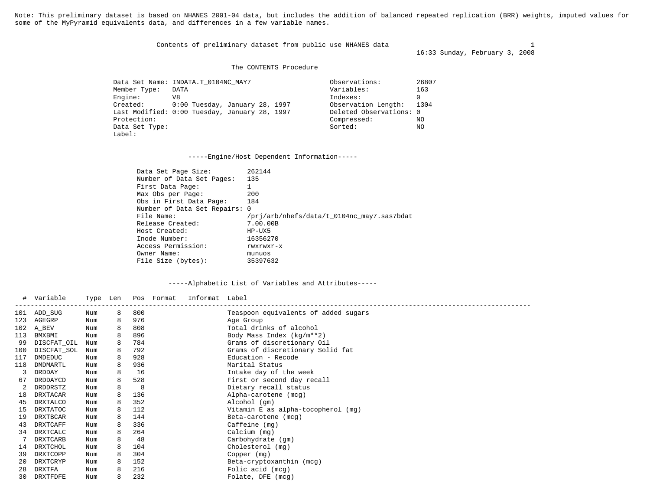Note: This preliminary dataset is based on NHANES 2001-04 data, but includes the addition of balanced repeated replication (BRR) weights, imputed values for some of the MyPyramid equivalents data, and differences in a few variable names.

Contents of preliminary dataset from public use NHANES data 1 1

16:33 Sunday, February 3, 2008

The CONTENTS Procedure

| Member Type:   | Data Set Name: INDATA.T 0104NC MAY7<br>DATA   | Observations:<br>Variables: | 26807<br>163 |
|----------------|-----------------------------------------------|-----------------------------|--------------|
| Engine:        | V8                                            | Indexes:                    |              |
|                |                                               |                             |              |
| Created:       | $0:00$ Tuesday, January 28, 1997              | Observation Length:         | 1304         |
|                | Last Modified: 0:00 Tuesday, January 28, 1997 | Deleted Observations: 0     |              |
| Protection:    |                                               | Compressed:                 | NO.          |
| Data Set Type: |                                               | Sorted:                     | NO           |
| Label:         |                                               |                             |              |

-----Engine/Host Dependent Information-----

| Data Set Page Size:           | 262144                                     |
|-------------------------------|--------------------------------------------|
| Number of Data Set Pages:     | 135                                        |
| First Data Page:              |                                            |
| Max Obs per Page:             | 200                                        |
| Obs in First Data Page:       | 184                                        |
| Number of Data Set Repairs: 0 |                                            |
| File Name:                    | /pri/arb/nhefs/data/t 0104nc may7.sas7bdat |
| Release Created:              | 7.00.00B                                   |
| Host Created:                 | $HP-UX5$                                   |
| Inode Number:                 | 16356270                                   |
| Access Permission:            | rwxrwxr-x                                  |
| Owner Name:                   | munuos                                     |
| File Size (bytes):            | 35397632                                   |

|     | Variable        | Type Len |   |     | Pos Format | Informat Label |                                      |
|-----|-----------------|----------|---|-----|------------|----------------|--------------------------------------|
| 101 | ADD SUG         | Num      | 8 | 800 |            |                | Teaspoon equivalents of added sugars |
| 123 | AGEGRP          | Num      | 8 | 976 |            |                | Age Group                            |
| 102 | A BEV           | Num      | 8 | 808 |            |                | Total drinks of alcohol              |
| 113 | BMXBMI          | Num      | 8 | 896 |            |                | Body Mass Index $(kq/m**2)$          |
| 99  | DISCFAT_OIL     | Num      | 8 | 784 |            |                | Grams of discretionary Oil           |
| 100 | DISCFAT SOL     | Num      | 8 | 792 |            |                | Grams of discretionary Solid fat     |
| 117 | DMDEDUC         | Num      | 8 | 928 |            |                | Education - Recode                   |
| 118 | DMDMARTL        | Num      | 8 | 936 |            |                | Marital Status                       |
| 3   | DRDDAY          | Num      | 8 | 16  |            |                | Intake day of the week               |
| 67  | DRDDAYCD        | Num      | 8 | 528 |            |                | First or second day recall           |
|     | DRDDRSTZ        | Num      | 8 | 8   |            |                | Dietary recall status                |
| 18  | <b>DRXTACAR</b> | Num      | 8 | 136 |            |                | Alpha-carotene (mcg)                 |
| 45  | DRXTALCO        | Num      | 8 | 352 |            |                | Alcohol (gm)                         |
| 15  | <b>DRXTATOC</b> | Num      | 8 | 112 |            |                | Vitamin E as alpha-tocopherol (mg)   |
| 19  | <b>DRXTBCAR</b> | Num      | 8 | 144 |            |                | Beta-carotene (mcg)                  |
| 43  | <b>DRXTCAFF</b> | Num      | 8 | 336 |            |                | $Caffeine$ (mq)                      |
| 34  | DRXTCALC        | Num      | 8 | 264 |            |                | Calcium (mg)                         |
|     | DRXTCARB        | Num      | 8 | 48  |            |                | Carbohydrate (gm)                    |
| 14  | DRXTCHOL        | Num      | 8 | 104 |            |                | Cholesterol (mg)                     |
| 39  | DRXTCOPP        | Num      | 8 | 304 |            |                | Copper (mq)                          |
| 20  | DRXTCRYP        | Num      | 8 | 152 |            |                | Beta-cryptoxanthin (mcg)             |
| 28  | DRXTFA          | Num      | 8 | 216 |            |                | Folic acid (mcg)                     |
| 30  | DRXTFDFE        | Num      | 8 | 232 |            |                | Folate, DFE (mcg)                    |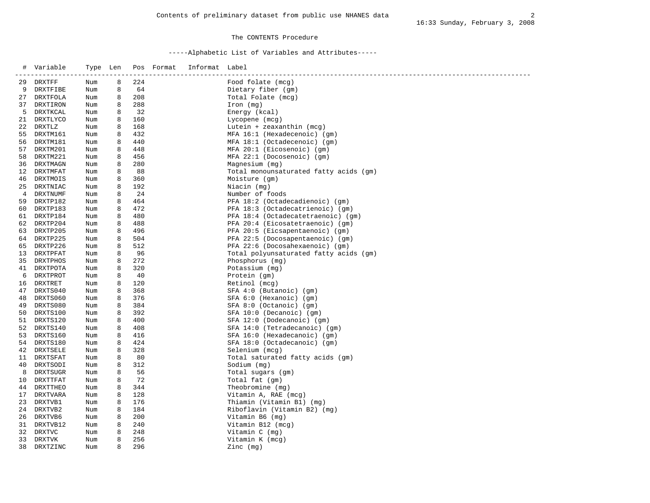### The CONTENTS Procedure

| #  | Variable    | Type Len |   |     | Pos Format | Informat Label |                                        |
|----|-------------|----------|---|-----|------------|----------------|----------------------------------------|
| 29 | DRXTFF      | Num      | 8 | 224 |            |                | Food folate (mcg)                      |
| 9  | DRXTFIBE    | Num      | 8 | 64  |            |                | Dietary fiber (gm)                     |
| 27 | DRXTFOLA    | Num      | 8 | 208 |            |                | Total Folate (mcg)                     |
| 37 | DRXTIRON    | Num      | 8 | 288 |            |                | Iron (mg)                              |
| 5  | DRXTKCAL    | Num      | 8 | 32  |            |                | Energy (kcal)                          |
|    | 21 DRXTLYCO | Num      | 8 | 160 |            |                | Lycopene (mcg)                         |
|    | 22 DRXTLZ   | Num      | 8 | 168 |            |                | Lutein + zeaxanthin (mcg)              |
| 55 | DRXTM161    | Num      | 8 | 432 |            |                | MFA 16:1 (Hexadecenoic) (gm)           |
| 56 | DRXTM181    | Num      | 8 | 440 |            |                | MFA 18:1 (Octadecenoic) (qm)           |
|    | 57 DRXTM201 | Num      | 8 | 448 |            |                | MFA 20:1 (Eicosenoic) (qm)             |
| 58 | DRXTM221    | Num      | 8 | 456 |            |                | MFA 22:1 (Docosenoic) (qm)             |
| 36 | DRXTMAGN    | Num      | 8 | 280 |            |                | Magnesium (mg)                         |
| 12 | DRXTMFAT    | Num      | 8 | 88  |            |                | Total monounsaturated fatty acids (gm) |
|    | 46 DRXTMOIS | Num      | 8 | 360 |            |                | Moisture (gm)                          |
| 25 | DRXTNIAC    | Num      | 8 | 192 |            |                | Niacin (mg)                            |
| 4  | DRXTNUMF    | Num      | 8 | 24  |            |                | Number of foods                        |
| 59 | DRXTP182    | Num      | 8 | 464 |            |                | PFA 18:2 (Octadecadienoic) (gm)        |
| 60 | DRXTP183    | Num      | 8 | 472 |            |                | PFA 18:3 (Octadecatrienoic) (gm)       |
|    | 61 DRXTP184 | Num      | 8 | 480 |            |                | PFA 18:4 (Octadecatetraenoic) (gm)     |
|    | 62 DRXTP204 | Num      | 8 | 488 |            |                | PFA 20:4 (Eicosatetraenoic) (gm)       |
|    | 63 DRXTP205 | Num      | 8 | 496 |            |                | PFA 20:5 (Eicsapentaenoic) (gm)        |
| 64 | DRXTP225    | Num      | 8 | 504 |            |                | PFA 22:5 (Docosapentaenoic) (qm)       |
| 65 | DRXTP226    | Num      | 8 | 512 |            |                | PFA 22:6 (Docosahexaenoic) (gm)        |
| 13 | DRXTPFAT    | Num      | 8 | 96  |            |                | Total polyunsaturated fatty acids (gm) |
| 35 | DRXTPHOS    | Num      | 8 | 272 |            |                | Phosphorus (mg)                        |
| 41 | DRXTPOTA    | Num      | 8 | 320 |            |                | Potassium (mg)                         |
| 6  | DRXTPROT    | Num      | 8 | 40  |            |                | Protein (gm)                           |
| 16 | DRXTRET     | Num      | 8 | 120 |            |                | Retinol (mcg)                          |
| 47 | DRXTS040    | Num      | 8 | 368 |            |                | $SFA 4:0$ (Butanoic) (qm)              |
| 48 | DRXTS060    | Num      | 8 | 376 |            |                | $SFA 6:0$ (Hexanoic) (gm)              |
| 49 | DRXTS080    | Num      | 8 | 384 |            |                | SFA 8:0 (Octanoic) (gm)                |
|    | 50 DRXTS100 | Num      | 8 | 392 |            |                | SFA 10:0 (Decanoic) (gm)               |
| 51 | DRXTS120    | Num      | 8 | 400 |            |                | SFA 12:0 (Dodecanoic) (gm)             |
| 52 | DRXTS140    | Num      | 8 | 408 |            |                | SFA 14:0 (Tetradecanoic) (qm)          |
| 53 | DRXTS160    | Num      | 8 | 416 |            |                | SFA 16:0 (Hexadecanoic) (gm)           |
|    | 54 DRXTS180 | Num      | 8 | 424 |            |                | SFA 18:0 (Octadecanoic) (gm)           |
| 42 | DRXTSELE    | Num      | 8 | 328 |            |                | Selenium (mcg)                         |
|    | 11 DRXTSFAT | Num      | 8 | 80  |            |                | Total saturated fatty acids (gm)       |
| 40 | DRXTSODI    | Num      | 8 | 312 |            |                | Sodium (mg)                            |
| 8  | DRXTSUGR    | Num      | 8 | 56  |            |                | Total sugars (gm)                      |
| 10 | DRXTTFAT    | Num      | 8 | 72  |            |                | Total fat (gm)                         |
| 44 | DRXTTHEO    | Num      | 8 | 344 |            |                | Theobromine (mg)                       |
| 17 | DRXTVARA    | Num      | 8 | 128 |            |                | Vitamin A, RAE (mcg)                   |
|    | 23 DRXTVB1  | Num      | 8 | 176 |            |                | Thiamin (Vitamin B1) (mg)              |
| 24 | DRXTVB2     | Num      | 8 | 184 |            |                | Riboflavin (Vitamin B2) (mg)           |
| 26 | DRXTVB6     | Num      | 8 | 200 |            |                | Vitamin B6 (mg)                        |
| 31 | DRXTVB12    | Num      | 8 | 240 |            |                | Vitamin B12 (mcg)                      |
| 32 | DRXTVC      | Num      | 8 | 248 |            |                | Vitamin C (mg)                         |
| 33 | DRXTVK      | Num      | 8 | 256 |            |                | Vitamin K (mcg)                        |
| 38 | DRXTZINC    | Num      | 8 | 296 |            |                | Zinc (mq)                              |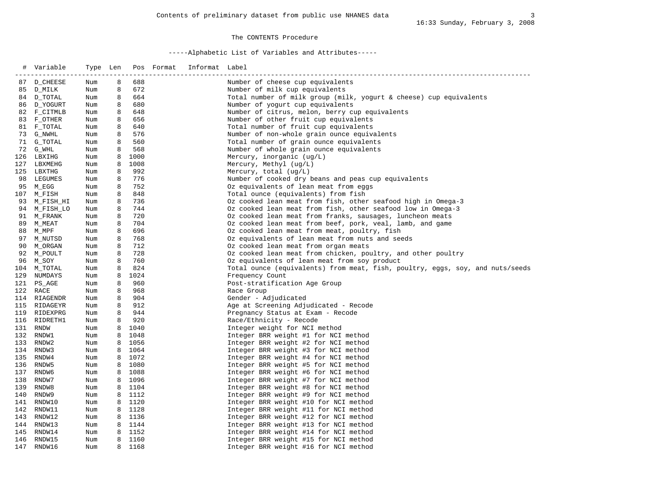### The CONTENTS Procedure

| $\#$ | Variable<br>---------------- | Type Len<br>------------ |   |                | Pos Format | Informat Label<br>__________________________________ |                                                                               |
|------|------------------------------|--------------------------|---|----------------|------------|------------------------------------------------------|-------------------------------------------------------------------------------|
|      | 87 D CHEESE                  | Num                      | 8 | 688            |            |                                                      | Number of cheese cup equivalents                                              |
|      | 85 D_MILK                    | Num                      | 8 | 672            |            |                                                      | Number of milk cup equivalents                                                |
|      | 84 D_TOTAL                   | Num                      | 8 | 664            |            |                                                      | Total number of milk group (milk, yogurt & cheese) cup equivalents            |
|      | 86 D YOGURT                  | Num                      | 8 | 680            |            |                                                      | Number of yogurt cup equivalents                                              |
|      | 82 F_CITMLB                  | Num                      | 8 | 648            |            |                                                      | Number of citrus, melon, berry cup equivalents                                |
|      | 83 F_OTHER                   | Num                      | 8 | 656            |            |                                                      | Number of other fruit cup equivalents                                         |
|      | 81 F_TOTAL                   | Num                      | 8 | 640            |            |                                                      | Total number of fruit cup equivalents                                         |
|      | 73 G_NWHL                    | Num                      | 8 | 576            |            |                                                      | Number of non-whole grain ounce equivalents                                   |
|      | 71 G TOTAL                   | Num                      | 8 | 560            |            |                                                      | Total number of grain ounce equivalents                                       |
|      | 72 G_WHL                     | Num                      | 8 | 568            |            |                                                      | Number of whole grain ounce equivalents                                       |
|      | 126 LBXIHG                   | Num                      | 8 | 1000           |            |                                                      | Mercury, inorganic $(ug/L)$                                                   |
|      | 127 LBXMEHG                  | Num                      | 8 | 1008           |            |                                                      | Mercury, Methyl (ug/L)                                                        |
|      | 125 LBXTHG                   | Num                      | 8 | 992            |            |                                                      | Mercury, total $(ug/L)$                                                       |
|      | 98 LEGUMES                   | Num                      | 8 | 776            |            |                                                      | Number of cooked dry beans and peas cup equivalents                           |
|      | 95 M_EGG                     | Num                      | 8 | 752            |            |                                                      | Oz equivalents of lean meat from eggs                                         |
|      | 107 M_FISH                   | Num                      | 8 | 848            |            |                                                      | Total ounce (equivalents) from fish                                           |
|      | 93 M_FISH_HI                 | Num                      | 8 | 736            |            |                                                      | Oz cooked lean meat from fish, other seafood high in Omega-3                  |
|      | 94 M_FISH_LO                 | Num                      | 8 | 744            |            |                                                      | Oz cooked lean meat from fish, other seafood low in Omega-3                   |
|      | 91 M_FRANK                   | Num                      | 8 | 720            |            |                                                      | Oz cooked lean meat from franks, sausages, luncheon meats                     |
|      | 89 M_MEAT                    | Num                      | 8 | 704            |            |                                                      | Oz cooked lean meat from beef, pork, veal, lamb, and game                     |
|      | 88 M_MPF                     | Num                      | 8 | 696            |            |                                                      | Oz cooked lean meat from meat, poultry, fish                                  |
|      | 97 M_NUTSD                   | Num                      | 8 | 768            |            |                                                      | Oz equivalents of lean meat from nuts and seeds                               |
|      | 90 M_ORGAN                   | Num                      | 8 | 712            |            |                                                      | Oz cooked lean meat from organ meats                                          |
|      | 92 M_POULT                   | Num                      | 8 | 728            |            |                                                      | Oz cooked lean meat from chicken, poultry, and other poultry                  |
|      | 96 M_SOY                     | Num                      | 8 | 760            |            |                                                      | Oz equivalents of lean meat from soy product                                  |
|      | 104 M_TOTAL                  | Num                      | 8 | 824            |            |                                                      | Total ounce (equivalents) from meat, fish, poultry, eqgs, soy, and nuts/seeds |
| 129  | NUMDAYS                      | Num                      | 8 | 1024           |            |                                                      | Frequency Count                                                               |
|      | 121 PS_AGE                   | Num                      | 8 | 960            |            |                                                      | Post-stratification Age Group                                                 |
| 122  | RACE                         | Num                      | 8 | 968            |            |                                                      | Race Group                                                                    |
|      | 114 RIAGENDR                 | Num                      | 8 | 904            |            |                                                      | Gender - Adjudicated                                                          |
|      | 115 RIDAGEYR                 | Num                      | 8 | 912            |            |                                                      | Age at Screening Adjudicated - Recode                                         |
|      | 119 RIDEXPRG                 | Num                      | 8 | 944            |            |                                                      | Pregnancy Status at Exam - Recode                                             |
|      | 116 RIDRETH1                 | Num                      | 8 | 920            |            |                                                      | Race/Ethnicity - Recode                                                       |
| 131  | RNDW                         | Num                      | 8 | 1040           |            |                                                      | Integer weight for NCI method                                                 |
|      | 132 RNDW1                    | Num                      |   | 8 1048         |            |                                                      | Integer BRR weight #1 for NCI method                                          |
| 133  | RNDW2                        | Num                      |   | 8 1056         |            |                                                      | Integer BRR weight #2 for NCI method                                          |
|      | 134 RNDW3                    | Num                      |   | 8 1064         |            |                                                      | Integer BRR weight #3 for NCI method                                          |
| 135  | RNDW4                        | Num                      |   | 8 1072         |            |                                                      | Integer BRR weight #4 for NCI method                                          |
| 136  | RNDW5                        | Num                      |   | 8 1080         |            |                                                      | Integer BRR weight #5 for NCI method                                          |
| 137  | RNDW6                        | Num                      |   | 8 1088         |            |                                                      | Integer BRR weight #6 for NCI method                                          |
| 138  | RNDW7                        | Num                      |   | 8 1096         |            |                                                      | Integer BRR weight #7 for NCI method                                          |
| 139  | RNDW8                        | Num                      |   | 8 1104         |            |                                                      | Integer BRR weight #8 for NCI method                                          |
| 140  | RNDW9                        | Num                      |   | 8 1112         |            |                                                      | Integer BRR weight #9 for NCI method                                          |
| 141  | RNDW10                       | Num                      |   | 8 1120         |            |                                                      | Integer BRR weight #10 for NCI method                                         |
| 142  | RNDW11                       | Num                      |   | 8 1128         |            |                                                      | Integer BRR weight #11 for NCI method                                         |
|      | 143 RNDW12                   | Num                      |   | 8 1136         |            |                                                      | Integer BRR weight #12 for NCI method                                         |
|      | 144 RNDW13                   | Num                      |   | 8 1144         |            |                                                      | Integer BRR weight #13 for NCI method                                         |
|      | 145 RNDW14                   | Num                      | 8 | 8 1152<br>1160 |            |                                                      | Integer BRR weight #14 for NCI method                                         |
|      | 146 RNDW15<br>147 RNDW16     | Num<br>Num               | 8 | 1168           |            |                                                      | Integer BRR weight #15 for NCI method                                         |
|      |                              |                          |   |                |            |                                                      | Integer BRR weight #16 for NCI method                                         |